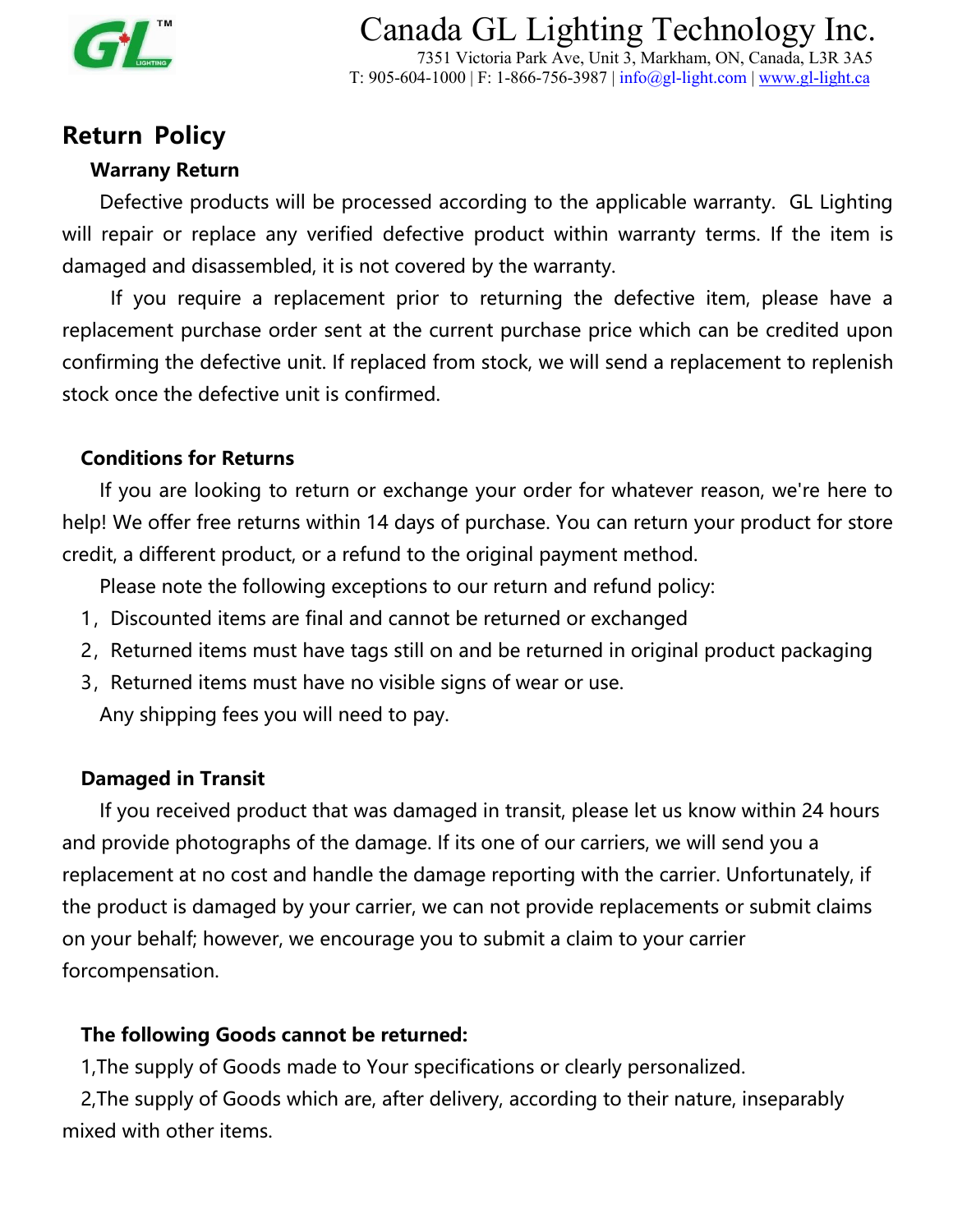

Canada GL Lighting Technology Inc. 7351 Victoria Park Ave, Unit 3, Markham, ON, Canada, L3R 3A5 T:  $905-604-1000$  | F: 1-866-756-3987 | [info@gl-light.co](mailto:sales@gl-light.ca)m | <www.gl-light.ca>

## **Return Policy**

#### **Warrany Return**

Defective products will be processed according to the applicable warranty. GL Lighting will repair or replace any verified defective product within warranty terms. If the item is damaged and disassembled, it is not covered by the warranty.

If you require a replacement prior to returning the defective item, please have a replacement purchase order sent at the current purchase price which can be credited upon confirming the defective unit. If replaced from stock, we will send a replacement to replenish stock once the defective unit is confirmed.

#### **Conditions for Returns**

If you are looking to return or exchange your order for whatever reason, we're here to help! We offer free returns within 14 days of purchase. You can return your product for store credit, a different product, or a refund to the original payment method.

Please note the following exceptions to our return and refund policy:

- 1, Discounted items are final and cannot be returned or exchanged
- 2, Returned items must have tags still on and be returned in original product [packaging](https://www.shopify.ca/blog/ecommerce-packaging)
- 3, Returned items must have no visible signs of wear or use. Any shipping fees you will need to pay.

#### **Damaged in Transit**

If you received product that was damaged in transit, please let us know within 24 hours and provide photographs of the damage. If its one of our carriers, we will send you a replacement at no cost and handle the damage reporting with the carrier. Unfortunately, if the product is damaged by your carrier, we can not provide replacements or submit claims on your behalf; however, we encourage you to submit a claim to your carrier forcompensation.

#### **The following Goods cannot be returned:**

1,The supply of Goods made to Your specifications or clearly personalized.

2,The supply of Goods which are, after delivery, according to their nature, inseparably mixed with other items.